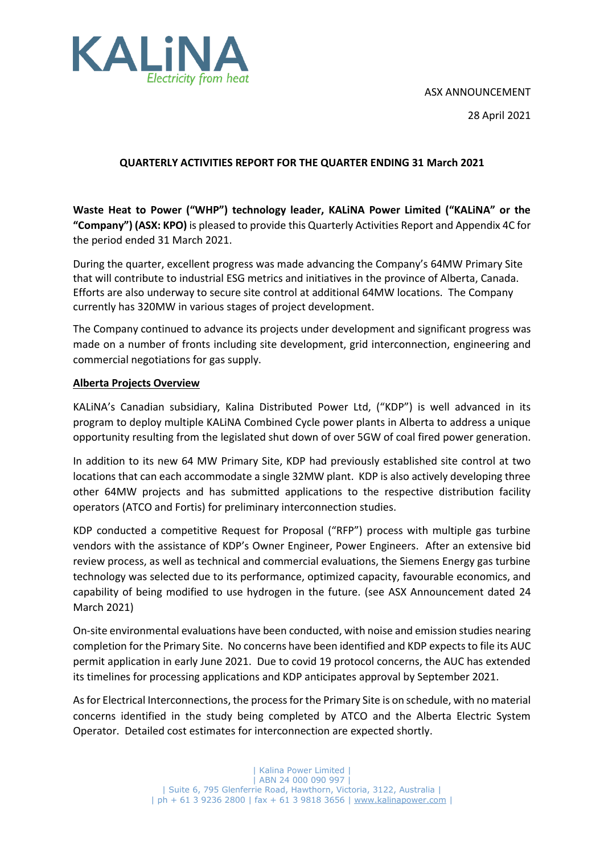### ASX ANNOUNCEMENT



28 April 2021

### **QUARTERLY ACTIVITIES REPORT FOR THE QUARTER ENDING 31 March 2021**

**Waste Heat to Power ("WHP") technology leader, KALiNA Power Limited ("KALiNA" or the "Company") (ASX: KPO)** is pleased to provide this Quarterly Activities Report and Appendix 4C for the period ended 31 March 2021.

During the quarter, excellent progress was made advancing the Company's 64MW Primary Site that will contribute to industrial ESG metrics and initiatives in the province of Alberta, Canada. Efforts are also underway to secure site control at additional 64MW locations. The Company currently has 320MW in various stages of project development.

The Company continued to advance its projects under development and significant progress was made on a number of fronts including site development, grid interconnection, engineering and commercial negotiations for gas supply.

### **Alberta Projects Overview**

KALiNA's Canadian subsidiary, Kalina Distributed Power Ltd, ("KDP") is well advanced in its program to deploy multiple KALiNA Combined Cycle power plants in Alberta to address a unique opportunity resulting from the legislated shut down of over 5GW of coal fired power generation.

In addition to its new 64 MW Primary Site, KDP had previously established site control at two locations that can each accommodate a single 32MW plant. KDP is also actively developing three other 64MW projects and has submitted applications to the respective distribution facility operators (ATCO and Fortis) for preliminary interconnection studies.

KDP conducted a competitive Request for Proposal ("RFP") process with multiple gas turbine vendors with the assistance of KDP's Owner Engineer, Power Engineers. After an extensive bid review process, as well as technical and commercial evaluations, the Siemens Energy gas turbine technology was selected due to its performance, optimized capacity, favourable economics, and capability of being modified to use hydrogen in the future. (see ASX Announcement dated 24 March 2021)

On-site environmental evaluations have been conducted, with noise and emission studies nearing completion for the Primary Site. No concerns have been identified and KDP expects to file its AUC permit application in early June 2021. Due to covid 19 protocol concerns, the AUC has extended its timelines for processing applications and KDP anticipates approval by September 2021.

As for Electrical Interconnections, the process for the Primary Site is on schedule, with no material concerns identified in the study being completed by ATCO and the Alberta Electric System Operator. Detailed cost estimates for interconnection are expected shortly.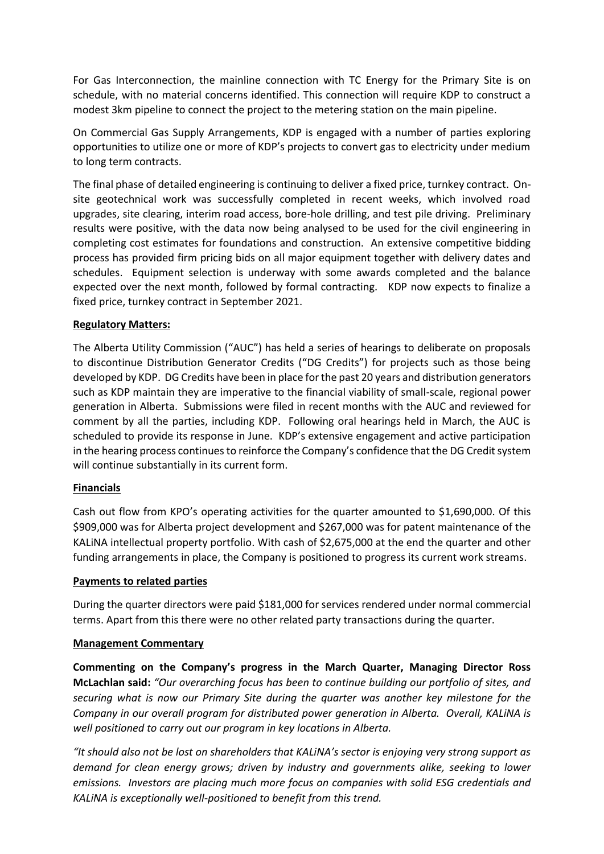For Gas Interconnection, the mainline connection with TC Energy for the Primary Site is on schedule, with no material concerns identified. This connection will require KDP to construct a modest 3km pipeline to connect the project to the metering station on the main pipeline.

On Commercial Gas Supply Arrangements, KDP is engaged with a number of parties exploring opportunities to utilize one or more of KDP's projects to convert gas to electricity under medium to long term contracts.

The final phase of detailed engineering is continuing to deliver a fixed price, turnkey contract. Onsite geotechnical work was successfully completed in recent weeks, which involved road upgrades, site clearing, interim road access, bore-hole drilling, and test pile driving. Preliminary results were positive, with the data now being analysed to be used for the civil engineering in completing cost estimates for foundations and construction. An extensive competitive bidding process has provided firm pricing bids on all major equipment together with delivery dates and schedules. Equipment selection is underway with some awards completed and the balance expected over the next month, followed by formal contracting. KDP now expects to finalize a fixed price, turnkey contract in September 2021.

### **Regulatory Matters:**

The Alberta Utility Commission ("AUC") has held a series of hearings to deliberate on proposals to discontinue Distribution Generator Credits ("DG Credits") for projects such as those being developed by KDP. DG Credits have been in place for the past 20 years and distribution generators such as KDP maintain they are imperative to the financial viability of small-scale, regional power generation in Alberta. Submissions were filed in recent months with the AUC and reviewed for comment by all the parties, including KDP. Following oral hearings held in March, the AUC is scheduled to provide its response in June. KDP's extensive engagement and active participation in the hearing process continues to reinforce the Company's confidence that the DG Credit system will continue substantially in its current form.

### **Financials**

Cash out flow from KPO's operating activities for the quarter amounted to \$1,690,000. Of this \$909,000 was for Alberta project development and \$267,000 was for patent maintenance of the KALiNA intellectual property portfolio. With cash of \$2,675,000 at the end the quarter and other funding arrangements in place, the Company is positioned to progress its current work streams.

### **Payments to related parties**

During the quarter directors were paid \$181,000 for services rendered under normal commercial terms. Apart from this there were no other related party transactions during the quarter.

### **Management Commentary**

**Commenting on the Company's progress in the March Quarter, Managing Director Ross McLachlan said:** *"Our overarching focus has been to continue building our portfolio of sites, and securing what is now our Primary Site during the quarter was another key milestone for the Company in our overall program for distributed power generation in Alberta. Overall, KALiNA is well positioned to carry out our program in key locations in Alberta.* 

*"It should also not be lost on shareholders that KALiNA's sector is enjoying very strong support as demand for clean energy grows; driven by industry and governments alike, seeking to lower emissions. Investors are placing much more focus on companies with solid ESG credentials and KALiNA is exceptionally well-positioned to benefit from this trend.*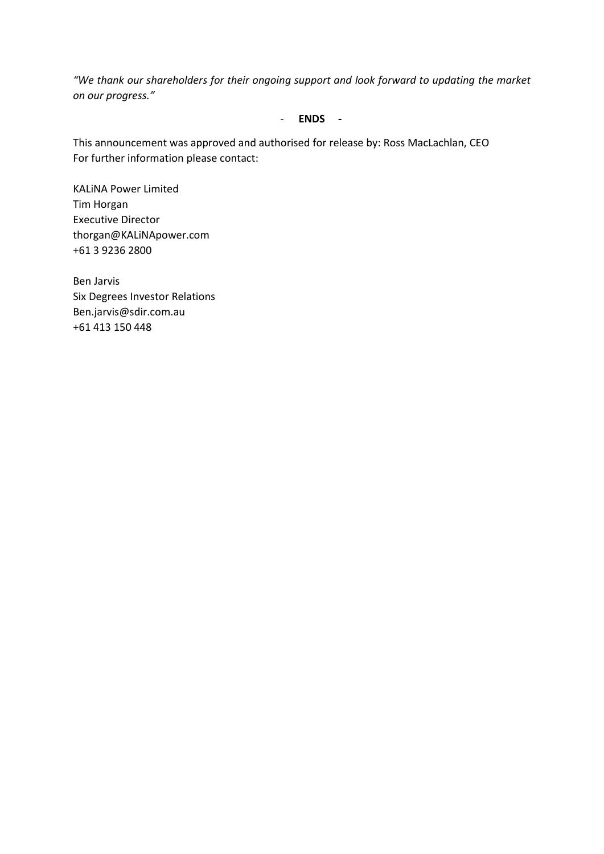*"We thank our shareholders for their ongoing support and look forward to updating the market on our progress."*

### - **ENDS -**

This announcement was approved and authorised for release by: Ross MacLachlan, CEO For further information please contact:

KALiNA Power Limited Tim Horgan Executive Director thorgan@KALiNApower.com +61 3 9236 2800

Ben Jarvis Six Degrees Investor Relations Ben.jarvis@sdir.com.au +61 413 150 448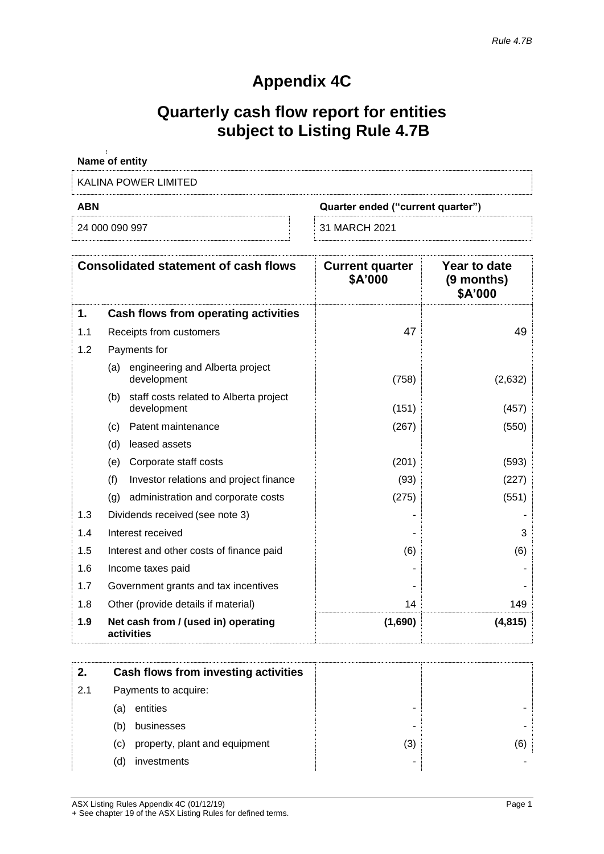# **Appendix 4C**

## **Quarterly cash flow report for entities subject to Listing Rule 4.7B**

| Name of entity                                  |  |  |
|-------------------------------------------------|--|--|
| KALINA POWER LIMITED                            |  |  |
| <b>ABN</b><br>Quarter ended ("current quarter") |  |  |
|                                                 |  |  |

|     | <b>Consolidated statement of cash flows</b>                  | <b>Current quarter</b><br>\$A'000 | Year to date<br>(9 months)<br>\$A'000 |
|-----|--------------------------------------------------------------|-----------------------------------|---------------------------------------|
| 1.  | Cash flows from operating activities                         |                                   |                                       |
| 1.1 | Receipts from customers                                      | 47                                | 49                                    |
| 1.2 | Payments for                                                 |                                   |                                       |
|     | engineering and Alberta project<br>(a)<br>development        | (758)                             | (2,632)                               |
|     | staff costs related to Alberta project<br>(b)<br>development | (151)                             | (457)                                 |
|     | Patent maintenance<br>(c)                                    | (267)                             | (550)                                 |
|     | leased assets<br>(d)                                         |                                   |                                       |
|     | Corporate staff costs<br>(e)                                 | (201)                             | (593)                                 |
|     | (f)<br>Investor relations and project finance                | (93)                              | (227)                                 |
|     | (q)<br>administration and corporate costs                    | (275)                             | (551)                                 |
| 1.3 | Dividends received (see note 3)                              |                                   |                                       |
| 1.4 | Interest received                                            |                                   | 3                                     |
| 1.5 | Interest and other costs of finance paid                     | (6)                               | (6)                                   |
| 1.6 | Income taxes paid                                            |                                   |                                       |
| 1.7 | Government grants and tax incentives                         |                                   |                                       |
| 1.8 | Other (provide details if material)                          | 14                                | 149                                   |
| 1.9 | Net cash from / (used in) operating<br>activities            | (1,690)                           | (4, 815)                              |

| 2.  | Cash flows from investing activities |     |     |
|-----|--------------------------------------|-----|-----|
| 2.1 | Payments to acquire:                 |     |     |
|     | entities<br>(a)                      | ۰   |     |
|     | businesses<br>(b)                    |     |     |
|     | property, plant and equipment<br>(c) | (3) | (6) |
|     | investments<br>(d)                   |     |     |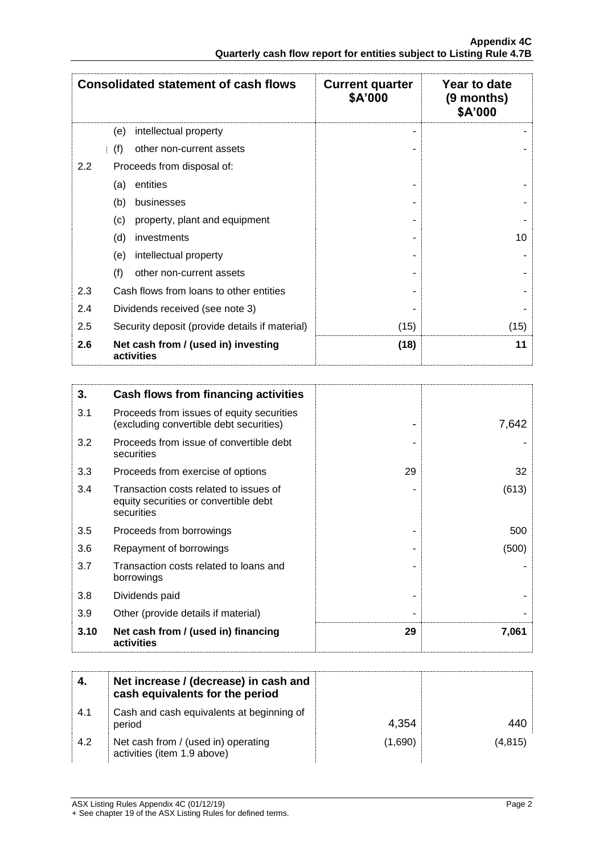|                  | <b>Consolidated statement of cash flows</b>       | <b>Current quarter</b><br>\$A'000 | Year to date<br>$(9$ months)<br>\$A'000 |
|------------------|---------------------------------------------------|-----------------------------------|-----------------------------------------|
|                  | intellectual property<br>(e)                      |                                   |                                         |
|                  | (f)<br>other non-current assets                   |                                   |                                         |
| $2.2\phantom{0}$ | Proceeds from disposal of:                        |                                   |                                         |
|                  | entities<br>(a)                                   |                                   |                                         |
|                  | (b)<br>businesses                                 |                                   |                                         |
|                  | property, plant and equipment<br>(c)              |                                   |                                         |
|                  | (d)<br>investments                                |                                   | 10                                      |
|                  | intellectual property<br>(e)                      |                                   |                                         |
|                  | (f)<br>other non-current assets                   |                                   |                                         |
| 2.3              | Cash flows from loans to other entities           |                                   |                                         |
| 2.4              | Dividends received (see note 3)                   |                                   |                                         |
| 2.5              | Security deposit (provide details if material)    | (15)                              | (15)                                    |
| 2.6              | Net cash from / (used in) investing<br>activities | (18)                              | 11                                      |

| 3.   | Cash flows from financing activities                                                          |    |       |
|------|-----------------------------------------------------------------------------------------------|----|-------|
| 3.1  | Proceeds from issues of equity securities<br>(excluding convertible debt securities)          |    | 7,642 |
| 3.2  | Proceeds from issue of convertible debt<br>securities                                         |    |       |
| 3.3  | Proceeds from exercise of options                                                             | 29 | 32    |
| 3.4  | Transaction costs related to issues of<br>equity securities or convertible debt<br>securities |    | (613) |
| 3.5  | Proceeds from borrowings                                                                      |    | 500   |
| 3.6  | Repayment of borrowings                                                                       |    | (500) |
| 3.7  | Transaction costs related to loans and<br>borrowings                                          |    |       |
| 3.8  | Dividends paid                                                                                |    |       |
| 3.9  | Other (provide details if material)                                                           |    |       |
| 3.10 | Net cash from / (used in) financing<br>activities                                             | 29 | 7,061 |

| -4. | Net increase / (decrease) in cash and<br>cash equivalents for the period |         |         |
|-----|--------------------------------------------------------------------------|---------|---------|
| 4.1 | Cash and cash equivalents at beginning of<br>period                      | 4,354   |         |
| 4.2 | Net cash from / (used in) operating<br>activities (item 1.9 above)       | (1,690) | (4,815) |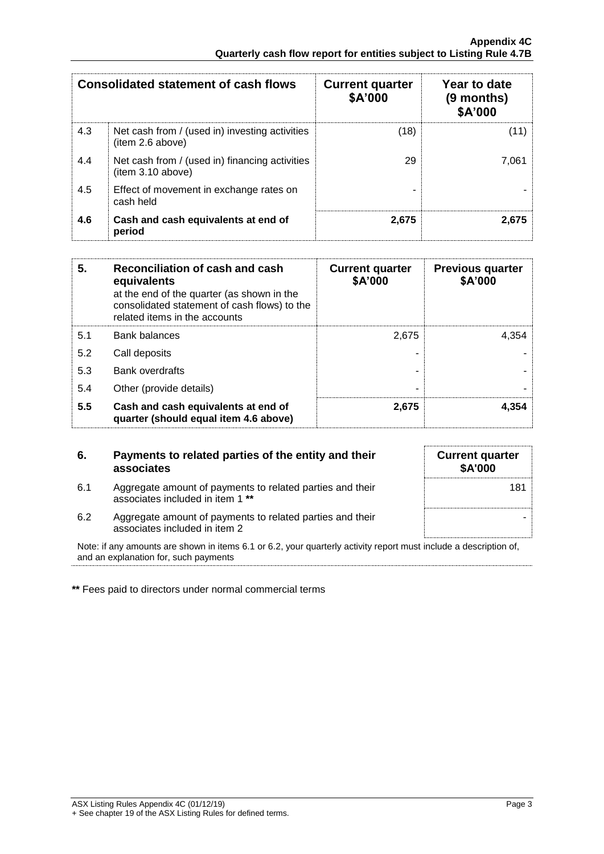|     | <b>Consolidated statement of cash flows</b>                        | <b>Current quarter</b><br>\$A'000 | Year to date<br>(9 months)<br>\$A'000 |
|-----|--------------------------------------------------------------------|-----------------------------------|---------------------------------------|
| 4.3 | Net cash from / (used in) investing activities<br>(item 2.6 above) | (18)                              | (11)                                  |
| 4.4 | Net cash from / (used in) financing activities<br>item 3.10 above) | 29                                | 7.061                                 |
| 4.5 | Effect of movement in exchange rates on<br>cash held               |                                   |                                       |
| 4.6 | Cash and cash equivalents at end of<br>period                      | 2.675                             | 2,675                                 |

| 5.  | Reconciliation of cash and cash<br>equivalents<br>at the end of the quarter (as shown in the<br>consolidated statement of cash flows) to the<br>related items in the accounts | <b>Current quarter</b><br>\$A'000 | <b>Previous quarter</b><br>\$A'000 |
|-----|-------------------------------------------------------------------------------------------------------------------------------------------------------------------------------|-----------------------------------|------------------------------------|
| 5.1 | <b>Bank balances</b>                                                                                                                                                          | 2.675                             | 4.354                              |
| 5.2 | Call deposits                                                                                                                                                                 |                                   |                                    |
| 5.3 | Bank overdrafts                                                                                                                                                               |                                   |                                    |
| 5.4 | Other (provide details)                                                                                                                                                       |                                   |                                    |
| 5.5 | Cash and cash equivalents at end of<br>quarter (should equal item 4.6 above)                                                                                                  | 2,675                             | 4.354                              |

| 6.  | Payments to related parties of the entity and their<br>associates                             | <b>Current quarter</b><br><b>\$A'000</b> |
|-----|-----------------------------------------------------------------------------------------------|------------------------------------------|
| 6.1 | Aggregate amount of payments to related parties and their<br>associates included in item 1 ** | 181                                      |
| 6.2 | Aggregate amount of payments to related parties and their<br>associates included in item 2    |                                          |

Note: if any amounts are shown in items 6.1 or 6.2, your quarterly activity report must include a description of, and an explanation for, such payments

**\*\*** Fees paid to directors under normal commercial terms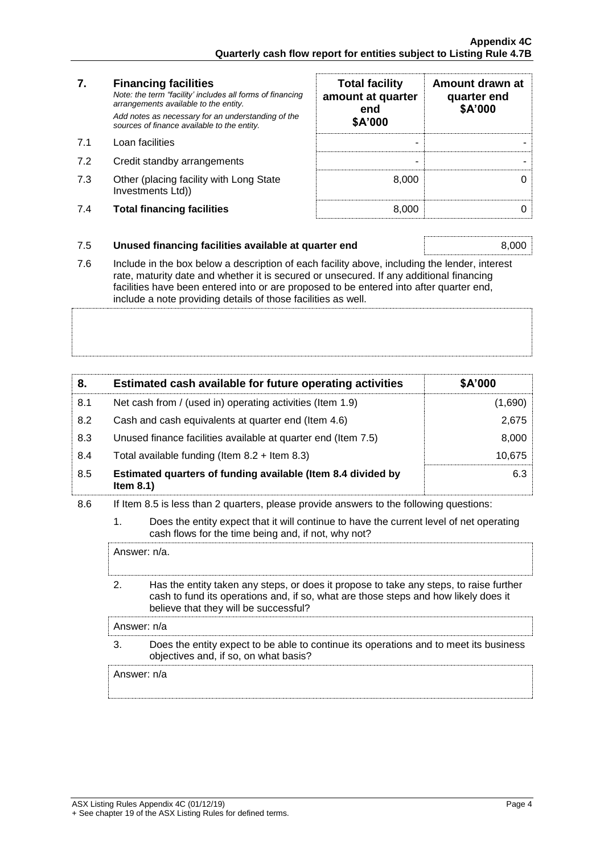### **7. Financing facilities**

- 
- 7.2 Credit standby arrangements
- 7.3 Other (placing facility with Long State Investments Ltd))
- 7.4 **Total financing facilities** 8,000 0

| 7.  | <b>Financing facilities</b><br>Note: the term "facility' includes all forms of financing<br>arrangements available to the entity.<br>Add notes as necessary for an understanding of the<br>sources of finance available to the entity. | <b>Total facility</b><br>amount at quarter<br>end<br>\$A'000 | Amount drawn at<br>quarter end<br>\$A'000 |
|-----|----------------------------------------------------------------------------------------------------------------------------------------------------------------------------------------------------------------------------------------|--------------------------------------------------------------|-------------------------------------------|
| 7.1 | Loan facilities                                                                                                                                                                                                                        |                                                              |                                           |
| 7.2 | Credit standby arrangements                                                                                                                                                                                                            |                                                              |                                           |
| 7.3 | Other (placing facility with Long State<br>Investments Ltd))                                                                                                                                                                           | 8.000                                                        |                                           |
| 7.4 | <b>Total financing facilities</b>                                                                                                                                                                                                      | 8.000                                                        |                                           |

### 7.5 **Unused financing facilities available at quarter end** 8,000

7.6 Include in the box below a description of each facility above, including the lender, interest rate, maturity date and whether it is secured or unsecured. If any additional financing facilities have been entered into or are proposed to be entered into after quarter end, include a note providing details of those facilities as well.

| 8.  | Estimated cash available for future operating activities                     | \$A'000 |
|-----|------------------------------------------------------------------------------|---------|
| 8.1 | Net cash from / (used in) operating activities (Item 1.9)                    | (1,690) |
| 8.2 | Cash and cash equivalents at quarter end (Item 4.6)                          | 2.675   |
| 8.3 | Unused finance facilities available at quarter end (Item 7.5)                | 8,000   |
| 8.4 | Total available funding (Item $8.2 +$ Item $8.3$ )                           | 10.675  |
| 8.5 | Estimated quarters of funding available (Item 8.4 divided by<br>Item $8.1$ ) | 6.3     |

### 8.6 If Item 8.5 is less than 2 quarters, please provide answers to the following questions:

1. Does the entity expect that it will continue to have the current level of net operating cash flows for the time being and, if not, why not?

Answer: n/a.

2. Has the entity taken any steps, or does it propose to take any steps, to raise further cash to fund its operations and, if so, what are those steps and how likely does it believe that they will be successful?

Answer: n/a

3. Does the entity expect to be able to continue its operations and to meet its business objectives and, if so, on what basis?

Answer: n/a